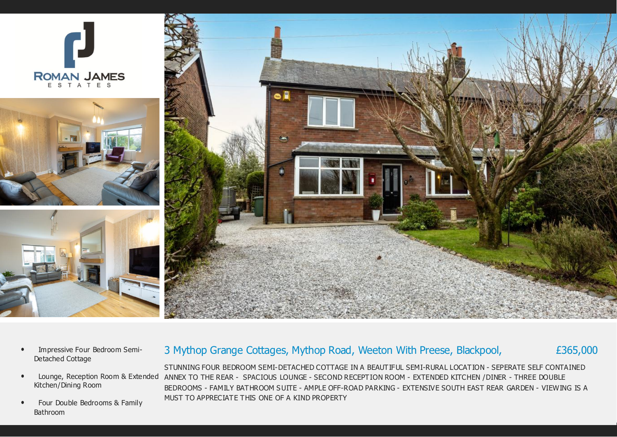







- Impressive Four Bedroom Semi-Detached Cottage
- Lounge, Reception Room & Extended Kitchen/Dining Room
- Four Double Bedrooms & Family Bathroom

# 3 Mythop Grange Cottages, Mythop Road, Weeton With Preese, Blackpool,

£365,000

STUNNING FOUR BEDROOM SEMI-DETACHED COTTAGE IN A BEAUTIFUL SEMI-RURAL LOCATION - SEPERATE SELF CONTAINED ANNEX TO THE REAR - SPACIOUS LOUNGE - SECOND RECEPTION ROOM - EXTENDED KITCHEN /DINER - THREE DOUBLE BEDROOMS - FAMILY BATHROOM SUITE - AMPLE OFF-ROAD PARKING - EXTENSIVE SOUTH EAST REAR GARDEN - VIEWING IS A MUST TO APPRECIATE THIS ONE OF A KIND PROPERTY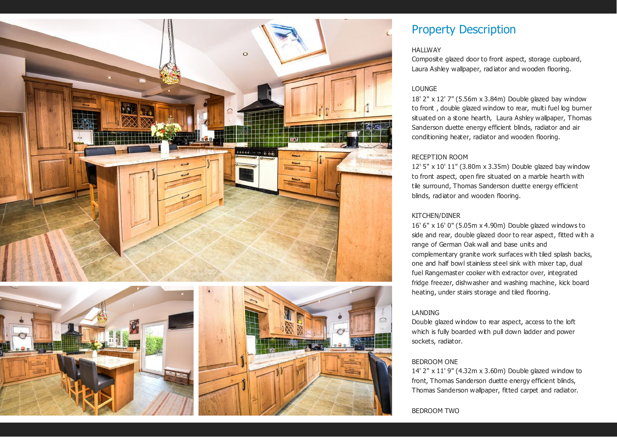



# Property Description

#### **HALLWAY**

Composite glazed door to front aspect, storage cupboard, Laura Ashley wallpaper, radiator and wooden flooring.

#### LOUNGE

18' 2" x 12' 7" (5.56m x 3.84m) Double glazed bay window to front , double glazed window to rear, multi fuel log burner situated on a stone hearth, Laura Ashley wallpaper, Thomas Sanderson duette energy efficient blinds, radiator and air conditioning heater, radiator and wooden flooring.

#### RECEPTION ROOM

12' 5" x 10' 11" (3.80m x 3.35m) Double glazed bay window to front aspect, open fire situated on a marble hearth with tile surround, Thomas Sanderson duette energy efficient blinds, radiator and wooden flooring.

### KITCHEN/DINER

16' 6" x 16' 0" (5.05m x 4.90m) Double glazed windows to side and rear, double glazed door to rear aspect, fitted with a range of German Oak wall and base units and complementary granite work surfaces with tiled splash backs, one and half bowl stainless steel sink with mixer tap, dual fuel Rangemaster cooker with extractor over, integrated fridge freezer, dishwasher and washing machine, kick board heating, under stairs storage and tiled flooring.

#### LANDING

Double glazed window to rear aspect, access to the loft which is fully boarded with pull down ladder and power sockets, radiator.

#### BEDROOM ONE

14' 2" x 11' 9" (4.32m x 3.60m) Double glazed window to front, Thomas Sanderson duette energy efficient blinds, Thomas Sanderson wallpaper, fitted carpet and radiator.

#### BEDROOM TWO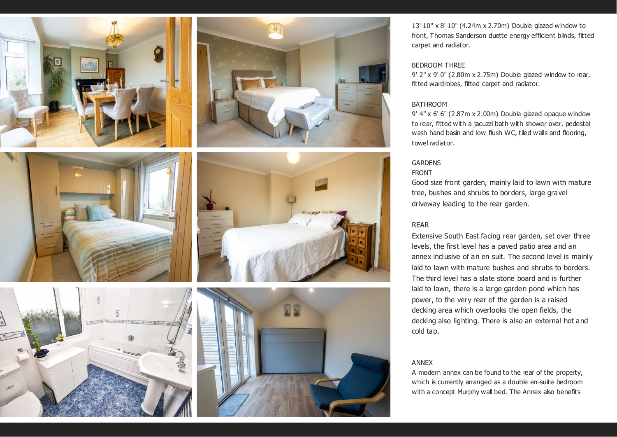









13' 10" x 8' 10" (4.24m x 2.70m) Double glazed window to front, Thomas Sanderson duette energy efficient blinds, fitted carpet and radiator.

#### BEDROOM THREE

9' 2" x 9' 0" (2.80m x 2.75m) Double glazed window to rear, fitted wardrobes, fitted carpet and radiator.

#### BATHROOM

9' 4" x 6' 6" (2.87m x 2.00m) Double glazed opaque window to rear, fitted with a jacuzzi bath with shower over, pedestal wash hand basin and low flush WC, tiled walls and flooring, towel radiator.

## **GARDENS**

#### FRONT

Good size front garden, mainly laid to lawn with mature tree, bushes and shrubs to borders, large gravel driveway leading to the rear garden.

### REAR

Extensive South East facing rear garden, set over three levels, the first level has a paved patio area and an annex inclusive of an en suit. The second level is mainly laid to lawn with mature bushes and shrubs to borders. The third level has a slate stone board and is further laid to lawn, there is a large garden pond which has power, to the very rear of the garden is a raised decking area which overlooks the open fields, the decking also lighting. There is also an external hot and cold tap.

#### ANNEX

A modern annex can be found to the rear of the property, which is currently arranged as a double en-suite bedroom with a concept Murphy wall bed. The Annex also benefits